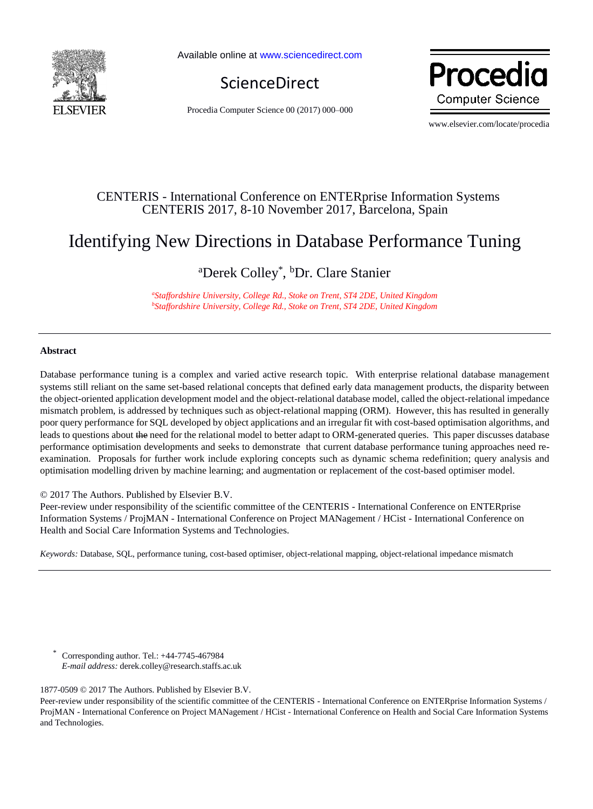

Available online a[t www.sciencedirect.com](http://www.sciencedirect.com/science/journal/22120173)



Procedia Computer Science 00 (2017) 000–000

Proced **Computer Science** 

www.elsevier.com/locate/procedia

# CENTERIS - International Conference on ENTERprise Information Systems CENTERIS 2017, 8-10 November 2017, Barcelona, Spain

# Identifying New Directions in Database Performance Tuning

<sup>a</sup>Derek Colley<sup>\*</sup>, <sup>b</sup>Dr. Clare Stanier

*<sup>a</sup>Staffordshire University, College Rd., Stoke on Trent, ST4 2DE, United Kingdom <sup>b</sup>Staffordshire University, College Rd., Stoke on Trent, ST4 2DE, United Kingdom*

#### **Abstract**

Database performance tuning is a complex and varied active research topic. With enterprise relational database management systems still reliant on the same set-based relational concepts that defined early data management products, the disparity between the object-oriented application development model and the object-relational database model, called the object-relational impedance mismatch problem, is addressed by techniques such as object-relational mapping (ORM). However, this has resulted in generally poor query performance for SQL developed by object applications and an irregular fit with cost-based optimisation algorithms, and leads to questions about the need for the relational model to better adapt to ORM-generated queries. This paper discusses database performance optimisation developments and seeks to demonstrate that current database performance tuning approaches need reexamination. Proposals for further work include exploring concepts such as dynamic schema redefinition; query analysis and optimisation modelling driven by machine learning; and augmentation or replacement of the cost-based optimiser model.

© 2017 The Authors. Published by Elsevier B.V.

Peer-review under responsibility of the scientific committee of the CENTERIS - International Conference on ENTERprise Information Systems / ProjMAN - International Conference on Project MANagement / HCist - International Conference on Health and Social Care Information Systems and Technologies.

*Keywords:* Database, SQL, performance tuning, cost-based optimiser, object-relational mapping, object-relational impedance mismatch

\* Corresponding author. Tel.: +44-7745-467984  *E-mail address:* derek.colley@research.staffs.ac.uk

1877-0509 © 2017 The Authors. Published by Elsevier B.V.

Peer-review under responsibility of the scientific committee of the CENTERIS - International Conference on ENTERprise Information Systems / ProjMAN - International Conference on Project MANagement / HCist - International Conference on Health and Social Care Information Systems and Technologies.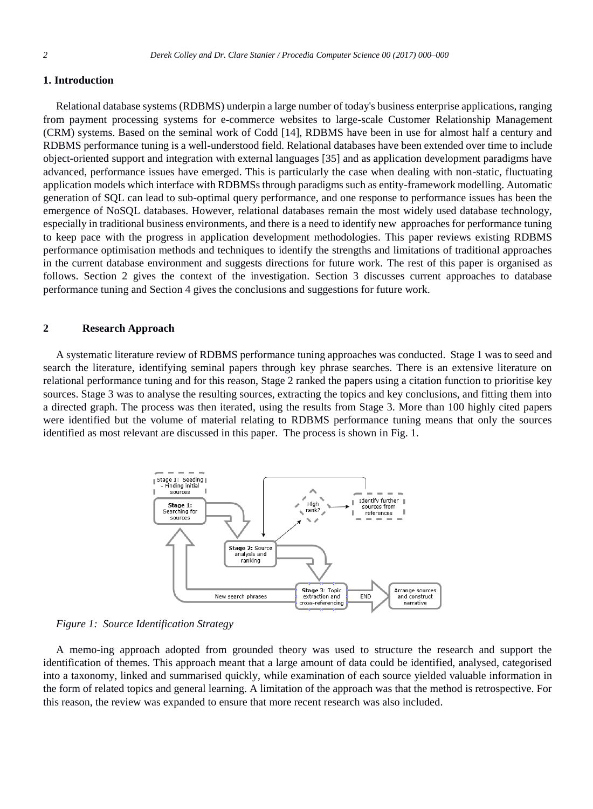#### **1. Introduction**

Relational database systems (RDBMS) underpin a large number of today's business enterprise applications, ranging from payment processing systems for e-commerce websites to large-scale Customer Relationship Management (CRM) systems. Based on the seminal work of Codd [14], RDBMS have been in use for almost half a century and RDBMS performance tuning is a well-understood field. Relational databases have been extended over time to include object-oriented support and integration with external languages [35] and as application development paradigms have advanced, performance issues have emerged. This is particularly the case when dealing with non-static, fluctuating application models which interface with RDBMSs through paradigms such as entity-framework modelling. Automatic generation of SQL can lead to sub-optimal query performance, and one response to performance issues has been the emergence of NoSQL databases. However, relational databases remain the most widely used database technology, especially in traditional business environments, and there is a need to identify new approaches for performance tuning to keep pace with the progress in application development methodologies. This paper reviews existing RDBMS performance optimisation methods and techniques to identify the strengths and limitations of traditional approaches in the current database environment and suggests directions for future work. The rest of this paper is organised as follows. Section 2 gives the context of the investigation. Section 3 discusses current approaches to database performance tuning and Section 4 gives the conclusions and suggestions for future work.

# **2 Research Approach**

A systematic literature review of RDBMS performance tuning approaches was conducted. Stage 1 was to seed and search the literature, identifying seminal papers through key phrase searches. There is an extensive literature on relational performance tuning and for this reason, Stage 2 ranked the papers using a citation function to prioritise key sources. Stage 3 was to analyse the resulting sources, extracting the topics and key conclusions, and fitting them into a directed graph. The process was then iterated, using the results from Stage 3. More than 100 highly cited papers were identified but the volume of material relating to RDBMS performance tuning means that only the sources identified as most relevant are discussed in this paper. The process is shown in Fig. 1.





A memo-ing approach adopted from grounded theory was used to structure the research and support the identification of themes. This approach meant that a large amount of data could be identified, analysed, categorised into a taxonomy, linked and summarised quickly, while examination of each source yielded valuable information in the form of related topics and general learning. A limitation of the approach was that the method is retrospective. For this reason, the review was expanded to ensure that more recent research was also included.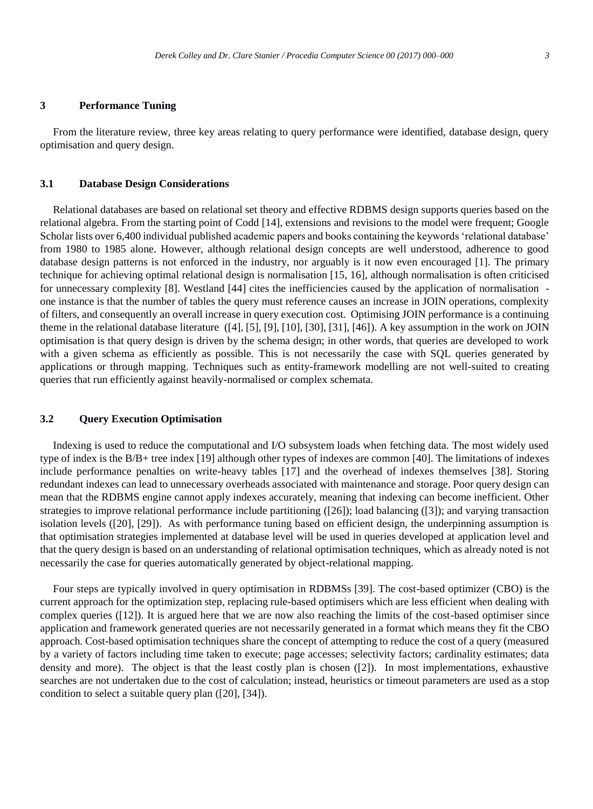#### **3 Performance Tuning**

From the literature review, three key areas relating to query performance were identified, database design, query optimisation and query design.

#### **3.1 Database Design Considerations**

Relational databases are based on relational set theory and effective RDBMS design supports queries based on the relational algebra. From the starting point of Codd [14], extensions and revisions to the model were frequent; Google Scholar lists over 6,400 individual published academic papers and books containing the keywords 'relational database' from 1980 to 1985 alone. However, although relational design concepts are well understood, adherence to good database design patterns is not enforced in the industry, nor arguably is it now even encouraged [1]. The primary technique for achieving optimal relational design is normalisation [15, 16], although normalisation is often criticised for unnecessary complexity [8]. Westland [44] cites the inefficiencies caused by the application of normalisation one instance is that the number of tables the query must reference causes an increase in JOIN operations, complexity of filters, and consequently an overall increase in query execution cost. Optimising JOIN performance is a continuing theme in the relational database literature ([4], [5], [9], [10], [30], [31], [46]). A key assumption in the work on JOIN optimisation is that query design is driven by the schema design; in other words, that queries are developed to work with a given schema as efficiently as possible. This is not necessarily the case with SQL queries generated by applications or through mapping. Techniques such as entity-framework modelling are not well-suited to creating queries that run efficiently against heavily-normalised or complex schemata.

## **3.2 Query Execution Optimisation**

Indexing is used to reduce the computational and I/O subsystem loads when fetching data. The most widely used type of index is the B/B+ tree index [19] although other types of indexes are common [40]. The limitations of indexes include performance penalties on write-heavy tables [17] and the overhead of indexes themselves [38]. Storing redundant indexes can lead to unnecessary overheads associated with maintenance and storage. Poor query design can mean that the RDBMS engine cannot apply indexes accurately, meaning that indexing can become inefficient. Other strategies to improve relational performance include partitioning ([26]); load balancing ([3]); and varying transaction isolation levels ([20], [29]). As with performance tuning based on efficient design, the underpinning assumption is that optimisation strategies implemented at database level will be used in queries developed at application level and that the query design is based on an understanding of relational optimisation techniques, which as already noted is not necessarily the case for queries automatically generated by object-relational mapping.

Four steps are typically involved in query optimisation in RDBMSs [39]. The cost-based optimizer (CBO) is the current approach for the optimization step, replacing rule-based optimisers which are less efficient when dealing with complex queries ([12]). It is argued here that we are now also reaching the limits of the cost-based optimiser since application and framework generated queries are not necessarily generated in a format which means they fit the CBO approach. Cost-based optimisation techniques share the concept of attempting to reduce the cost of a query (measured by a variety of factors including time taken to execute; page accesses; selectivity factors; cardinality estimates; data density and more). The object is that the least costly plan is chosen ([2]). In most implementations, exhaustive searches are not undertaken due to the cost of calculation; instead, heuristics or timeout parameters are used as a stop condition to select a suitable query plan ([20], [34]).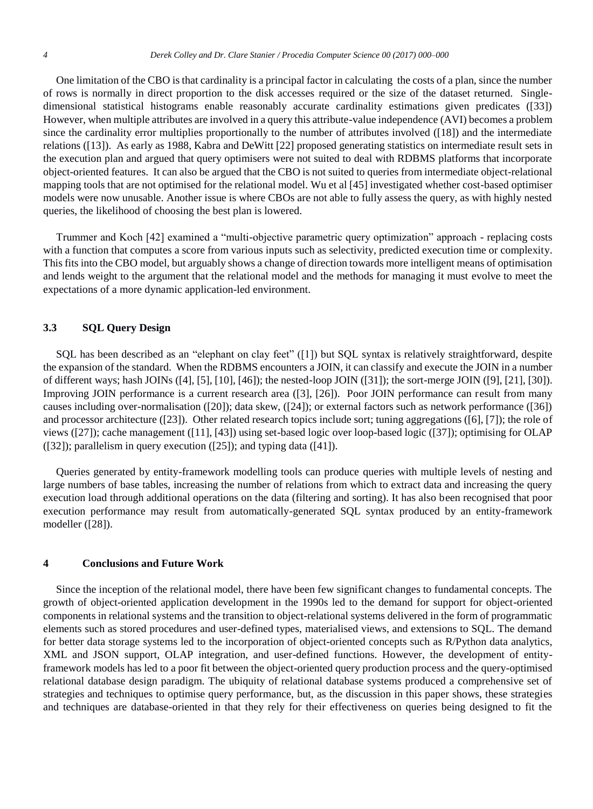One limitation of the CBO is that cardinality is a principal factor in calculating the costs of a plan, since the number of rows is normally in direct proportion to the disk accesses required or the size of the dataset returned. Singledimensional statistical histograms enable reasonably accurate cardinality estimations given predicates ([33]) However, when multiple attributes are involved in a query this attribute-value independence (AVI) becomes a problem since the cardinality error multiplies proportionally to the number of attributes involved ([18]) and the intermediate relations ([13]). As early as 1988, Kabra and DeWitt [22] proposed generating statistics on intermediate result sets in the execution plan and argued that query optimisers were not suited to deal with RDBMS platforms that incorporate object-oriented features. It can also be argued that the CBO is not suited to queries from intermediate object-relational mapping tools that are not optimised for the relational model. Wu et al [45] investigated whether cost-based optimiser models were now unusable. Another issue is where CBOs are not able to fully assess the query, as with highly nested queries, the likelihood of choosing the best plan is lowered.

Trummer and Koch [42] examined a "multi-objective parametric query optimization" approach - replacing costs with a function that computes a score from various inputs such as selectivity, predicted execution time or complexity. This fits into the CBO model, but arguably shows a change of direction towards more intelligent means of optimisation and lends weight to the argument that the relational model and the methods for managing it must evolve to meet the expectations of a more dynamic application-led environment.

# **3.3 SQL Query Design**

SQL has been described as an "elephant on clay feet" ([1]) but SQL syntax is relatively straightforward, despite the expansion of the standard. When the RDBMS encounters a JOIN, it can classify and execute the JOIN in a number of different ways; hash JOINs ([4], [5], [10], [46]); the nested-loop JOIN ([31]); the sort-merge JOIN ([9], [21], [30]). Improving JOIN performance is a current research area ([3], [26]). Poor JOIN performance can result from many causes including over-normalisation ([20]); data skew, ([24]); or external factors such as network performance ([36]) and processor architecture ([23]). Other related research topics include sort; tuning aggregations ([6], [7]); the role of views ([27]); cache management ([11], [43]) using set-based logic over loop-based logic ([37]); optimising for OLAP ([32]); parallelism in query execution ([25]); and typing data ([41]).

Queries generated by entity-framework modelling tools can produce queries with multiple levels of nesting and large numbers of base tables, increasing the number of relations from which to extract data and increasing the query execution load through additional operations on the data (filtering and sorting). It has also been recognised that poor execution performance may result from automatically-generated SQL syntax produced by an entity-framework modeller ([28]).

#### **4 Conclusions and Future Work**

Since the inception of the relational model, there have been few significant changes to fundamental concepts. The growth of object-oriented application development in the 1990s led to the demand for support for object-oriented components in relational systems and the transition to object-relational systems delivered in the form of programmatic elements such as stored procedures and user-defined types, materialised views, and extensions to SQL. The demand for better data storage systems led to the incorporation of object-oriented concepts such as R/Python data analytics, XML and JSON support, OLAP integration, and user-defined functions. However, the development of entityframework models has led to a poor fit between the object-oriented query production process and the query-optimised relational database design paradigm. The ubiquity of relational database systems produced a comprehensive set of strategies and techniques to optimise query performance, but, as the discussion in this paper shows, these strategies and techniques are database-oriented in that they rely for their effectiveness on queries being designed to fit the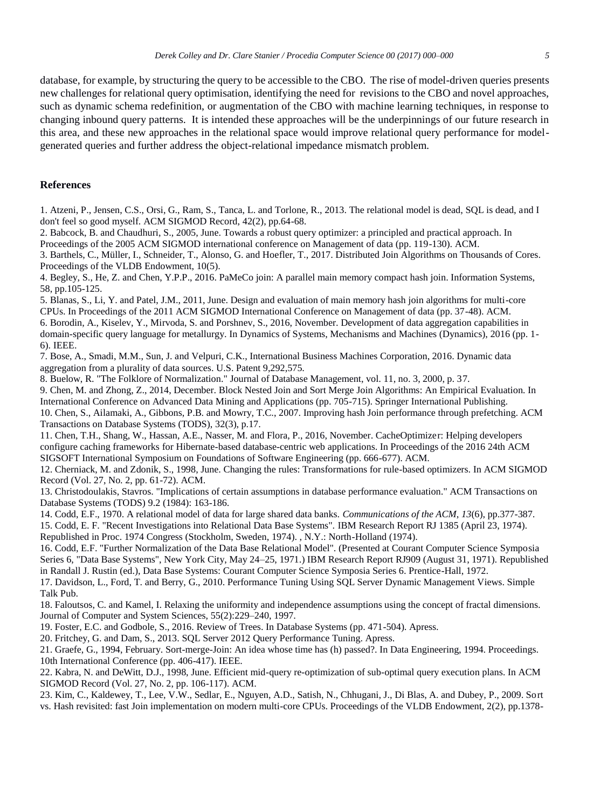database, for example, by structuring the query to be accessible to the CBO. The rise of model-driven queries presents new challenges for relational query optimisation, identifying the need for revisions to the CBO and novel approaches, such as dynamic schema redefinition, or augmentation of the CBO with machine learning techniques, in response to changing inbound query patterns. It is intended these approaches will be the underpinnings of our future research in this area, and these new approaches in the relational space would improve relational query performance for modelgenerated queries and further address the object-relational impedance mismatch problem.

## **References**

1. Atzeni, P., Jensen, C.S., Orsi, G., Ram, S., Tanca, L. and Torlone, R., 2013. The relational model is dead, SQL is dead, and I don't feel so good myself. ACM SIGMOD Record, 42(2), pp.64-68.

2. Babcock, B. and Chaudhuri, S., 2005, June. Towards a robust query optimizer: a principled and practical approach. In Proceedings of the 2005 ACM SIGMOD international conference on Management of data (pp. 119-130). ACM.

3. Barthels, C., Müller, I., Schneider, T., Alonso, G. and Hoefler, T., 2017. Distributed Join Algorithms on Thousands of Cores. Proceedings of the VLDB Endowment, 10(5).

4. Begley, S., He, Z. and Chen, Y.P.P., 2016. PaMeCo join: A parallel main memory compact hash join. Information Systems, 58, pp.105-125.

5. Blanas, S., Li, Y. and Patel, J.M., 2011, June. Design and evaluation of main memory hash join algorithms for multi-core CPUs. In Proceedings of the 2011 ACM SIGMOD International Conference on Management of data (pp. 37-48). ACM. 6. Borodin, A., Kiselev, Y., Mirvoda, S. and Porshnev, S., 2016, November. Development of data aggregation capabilities in domain-specific query language for metallurgy. In Dynamics of Systems, Mechanisms and Machines (Dynamics), 2016 (pp. 1- 6). IEEE.

7. Bose, A., Smadi, M.M., Sun, J. and Velpuri, C.K., International Business Machines Corporation, 2016. Dynamic data aggregation from a plurality of data sources. U.S. Patent 9,292,575.

8. Buelow, R. "The Folklore of Normalization." Journal of Database Management, vol. 11, no. 3, 2000, p. 37.

9. Chen, M. and Zhong, Z., 2014, December. Block Nested Join and Sort Merge Join Algorithms: An Empirical Evaluation. In International Conference on Advanced Data Mining and Applications (pp. 705-715). Springer International Publishing. 10. Chen, S., Ailamaki, A., Gibbons, P.B. and Mowry, T.C., 2007. Improving hash Join performance through prefetching. ACM Transactions on Database Systems (TODS), 32(3), p.17.

11. Chen, T.H., Shang, W., Hassan, A.E., Nasser, M. and Flora, P., 2016, November. CacheOptimizer: Helping developers configure caching frameworks for Hibernate-based database-centric web applications. In Proceedings of the 2016 24th ACM SIGSOFT International Symposium on Foundations of Software Engineering (pp. 666-677). ACM.

12. Cherniack, M. and Zdonik, S., 1998, June. Changing the rules: Transformations for rule-based optimizers. In ACM SIGMOD Record (Vol. 27, No. 2, pp. 61-72). ACM.

13. Christodoulakis, Stavros. "Implications of certain assumptions in database performance evaluation." ACM Transactions on Database Systems (TODS) 9.2 (1984): 163-186.

14. Codd, E.F., 1970. A relational model of data for large shared data banks. *Communications of the ACM*, *13*(6), pp.377-387.

15. Codd, E. F. "Recent Investigations into Relational Data Base Systems". IBM Research Report RJ 1385 (April 23, 1974). Republished in Proc. 1974 Congress (Stockholm, Sweden, 1974). , N.Y.: North-Holland (1974).

16. Codd, E.F. "Further Normalization of the Data Base Relational Model". (Presented at Courant Computer Science Symposia Series 6, "Data Base Systems", New York City, May 24–25, 1971.) IBM Research Report RJ909 (August 31, 1971). Republished in Randall J. Rustin (ed.), Data Base Systems: Courant Computer Science Symposia Series 6. Prentice-Hall, 1972.

17. Davidson, L., Ford, T. and Berry, G., 2010. Performance Tuning Using SQL Server Dynamic Management Views. Simple Talk Pub.

18. Faloutsos, C. and Kamel, I. Relaxing the uniformity and independence assumptions using the concept of fractal dimensions. Journal of Computer and System Sciences, 55(2):229–240, 1997.

19. Foster, E.C. and Godbole, S., 2016. Review of Trees. In Database Systems (pp. 471-504). Apress.

20. Fritchey, G. and Dam, S., 2013. SQL Server 2012 Query Performance Tuning. Apress.

21. Graefe, G., 1994, February. Sort-merge-Join: An idea whose time has (h) passed?. In Data Engineering, 1994. Proceedings. 10th International Conference (pp. 406-417). IEEE.

22. Kabra, N. and DeWitt, D.J., 1998, June. Efficient mid-query re-optimization of sub-optimal query execution plans. In ACM SIGMOD Record (Vol. 27, No. 2, pp. 106-117). ACM.

23. Kim, C., Kaldewey, T., Lee, V.W., Sedlar, E., Nguyen, A.D., Satish, N., Chhugani, J., Di Blas, A. and Dubey, P., 2009. Sort vs. Hash revisited: fast Join implementation on modern multi-core CPUs. Proceedings of the VLDB Endowment, 2(2), pp.1378